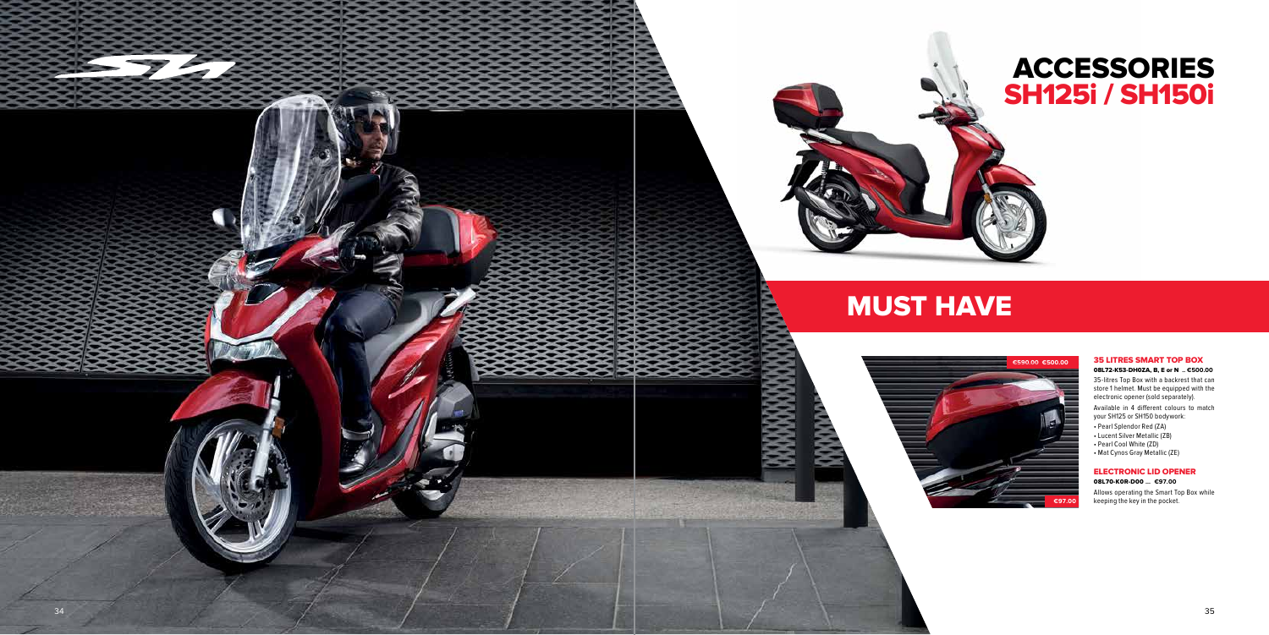# **ACCESSORIES SH125i / SH150i**

# **35 LITRES SMART TOP BOX**

#### **08L72-K53-DH0ZA, B, E or N .. €500.00**

35-litres Top Box with a backrest that can store 1 helmet. Must be equipped with the electronic opener (sold separately).

Available in 4 different colours to match your SH125 or SH150 bodywork:



- Pearl Splendor Red (ZA)
- Lucent Silver Metallic (ZB)
- Pearl Cool White (ZD)
- Mat Cynos Gray Metallic (ZE)

## **ELECTRONIC LID OPENER 08L70-K0R-D00 ... €97.00**

Allows operating the Smart Top Box while keeping the key in the pocket.